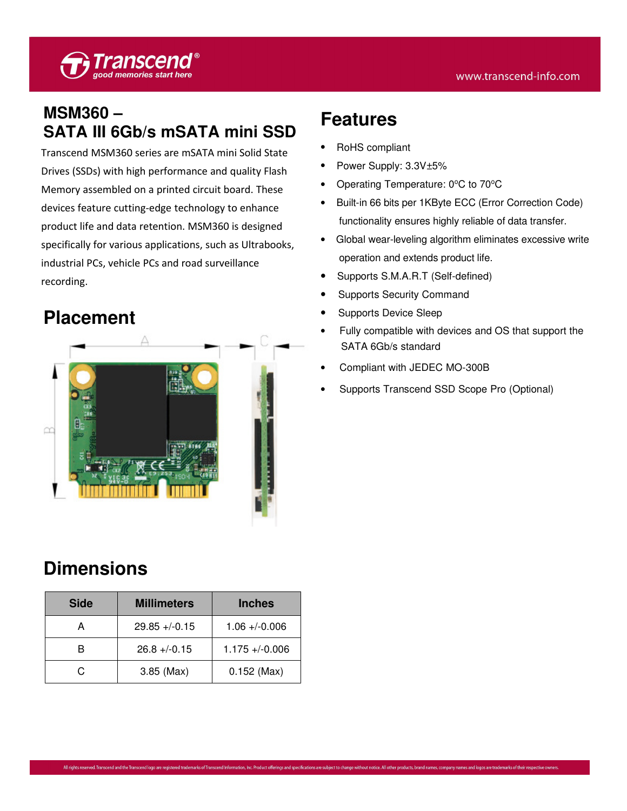### **MSM360 – SATA III 6Gb/s mSATA mini SSD**

Transcend MSM360 series are mSATA mini Solid State Drives (SSDs) with high performance and quality Flash Memory assembled on a printed circuit board. These devices feature cutting-edge technology to enhance product life and data retention. MSM360 is designed specifically for various applications, such as Ultrabooks, industrial PCs, vehicle PCs and road surveillance recording.

# **Placement**



## **Dimensions**

| <b>Side</b> | <b>Millimeters</b> | <b>Inches</b>      |
|-------------|--------------------|--------------------|
| А           | $29.85 + (-0.15)$  | $1.06 + (-0.006)$  |
| R           | $26.8 + -0.15$     | $1.175 + (-0.006)$ |
| C.          | $3.85$ (Max)       | $0.152$ (Max)      |

## **Features**

- RoHS compliant
- Power Supply: 3.3V±5%
- Operating Temperature: 0°C to 70°C
- Built-in 66 bits per 1KByte ECC (Error Correction Code) functionality ensures highly reliable of data transfer.
- Global wear-leveling algorithm eliminates excessive write operation and extends product life.
- Supports S.M.A.R.T (Self-defined)
- Supports Security Command
- Supports Device Sleep
- Fully compatible with devices and OS that support the SATA 6Gb/s standard
- Compliant with JEDEC MO-300B
- Supports Transcend SSD Scope Pro (Optional)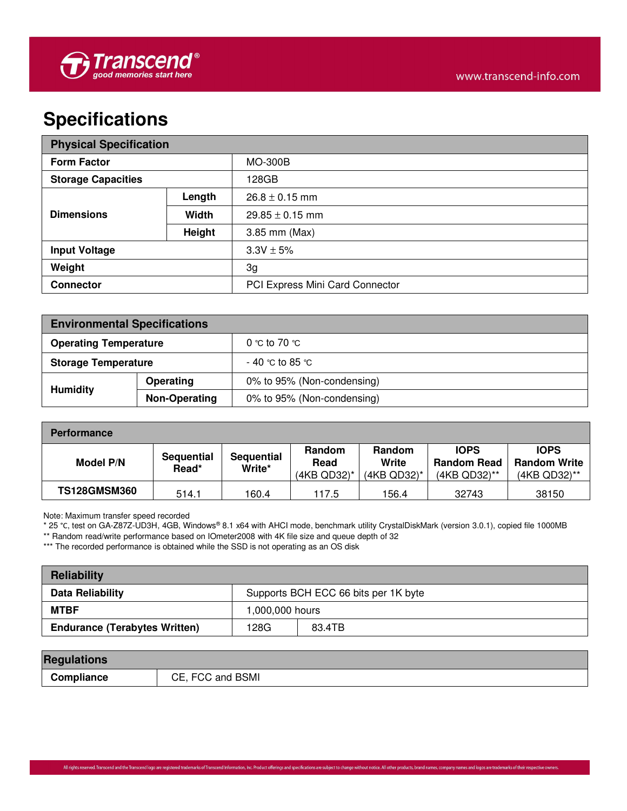## **Specifications**

| <b>Physical Specification</b> |        |                                 |  |
|-------------------------------|--------|---------------------------------|--|
| <b>Form Factor</b>            |        | <b>MO-300B</b>                  |  |
| <b>Storage Capacities</b>     |        | 128GB                           |  |
|                               | Length | $26.8 \pm 0.15$ mm              |  |
| <b>Dimensions</b>             | Width  | $29.85 \pm 0.15$ mm             |  |
|                               | Height | 3.85 mm (Max)                   |  |
| <b>Input Voltage</b>          |        | $3.3V \pm 5%$                   |  |
| Weight                        |        | 3g                              |  |
| <b>Connector</b>              |        | PCI Express Mini Card Connector |  |

| <b>Environmental Specifications</b> |           |                            |  |
|-------------------------------------|-----------|----------------------------|--|
| <b>Operating Temperature</b>        |           | 0 °C to 70 °C.             |  |
| <b>Storage Temperature</b>          |           | $-$ 40 °C to 85 °C.        |  |
| <b>Humidity</b>                     | Operating | 0% to 95% (Non-condensing) |  |
| <b>Non-Operating</b>                |           | 0% to 95% (Non-condensing) |  |

| <b>Performance</b>  |                     |                             |                                         |                                   |                                                   |                                                    |
|---------------------|---------------------|-----------------------------|-----------------------------------------|-----------------------------------|---------------------------------------------------|----------------------------------------------------|
| <b>Model P/N</b>    | Sequential<br>Read* | <b>Sequential</b><br>Write* | <b>Random</b><br>Read<br>$(4KB QD32)^*$ | Random<br>Write<br>$(4KB QD32)^*$ | <b>IOPS</b><br><b>Random Read</b><br>(4KB QD32)** | <b>IOPS</b><br><b>Random Write</b><br>(4KB QD32)** |
| <b>TS128GMSM360</b> | 514.1               | 160.4                       | 117.5                                   | 156.4                             | 32743                                             | 38150                                              |

Note: Maximum transfer speed recorded

\* 25 °C, test on GA-Z87Z-UD3H, 4GB, Windows® 8.1 x64 with AHCI mode, benchmark utility CrystalDiskMark (version 3.0.1), copied file 1000MB

\*\* Random read/write performance based on IOmeter2008 with 4K file size and queue depth of 32

\*\*\* The recorded performance is obtained while the SSD is not operating as an OS disk

| Reliability                          |                                      |  |  |  |
|--------------------------------------|--------------------------------------|--|--|--|
| Data Reliability                     | Supports BCH ECC 66 bits per 1K byte |  |  |  |
| MTBF                                 | 1,000,000 hours                      |  |  |  |
| <b>Endurance (Terabytes Written)</b> | 128G<br>83.4TB                       |  |  |  |

| <b>Regulations</b> |                  |
|--------------------|------------------|
| Compliance         | CE, FCC and BSMI |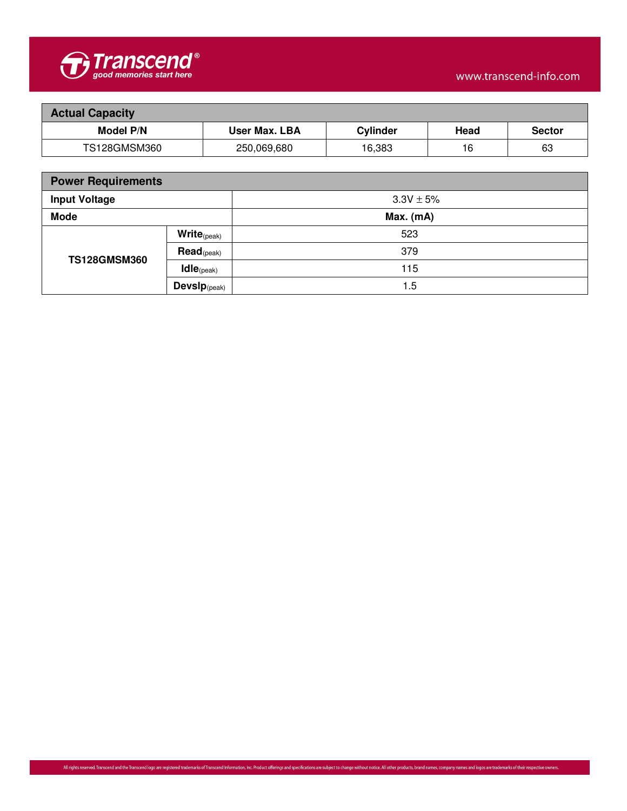

| <b>Actual Capacity</b> |               |                 |      |               |  |
|------------------------|---------------|-----------------|------|---------------|--|
| <b>Model P/N</b>       | User Max. LBA | <b>Cylinder</b> | Head | <b>Sector</b> |  |
| TS128GMSM360           | 250,069,680   | 16,383          | 16   | 63            |  |

| <b>Power Requirements</b>             |                                    |             |  |  |
|---------------------------------------|------------------------------------|-------------|--|--|
| <b>Input Voltage</b><br>$3.3V \pm 5%$ |                                    |             |  |  |
| <b>Mode</b>                           |                                    | $Max.$ (mA) |  |  |
|                                       | $\mathsf{Write}_{(\mathsf{peak})}$ | 523         |  |  |
| <b>TS128GMSM360</b>                   | $\text{Read}_{\text{(peak)}}$      | 379         |  |  |
|                                       | $\text{Idle}_{(\text{peak})}$      | 115         |  |  |
|                                       | Devs $\mathbf{p}_{(\text{peak})}$  | 1.5         |  |  |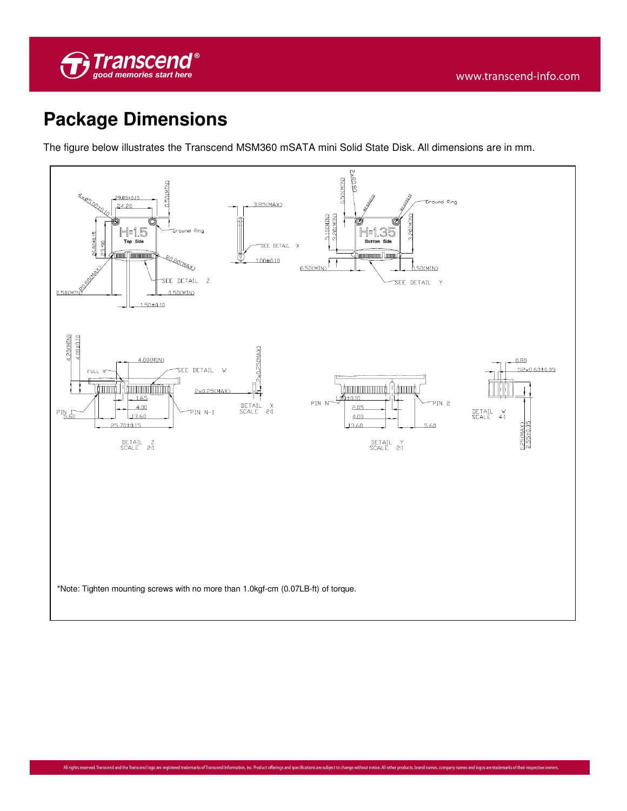

## **Package Dimensions**

The figure below illustrates the Transcend MSM360 mSATA mini Solid State Disk. All dimensions are in mm.

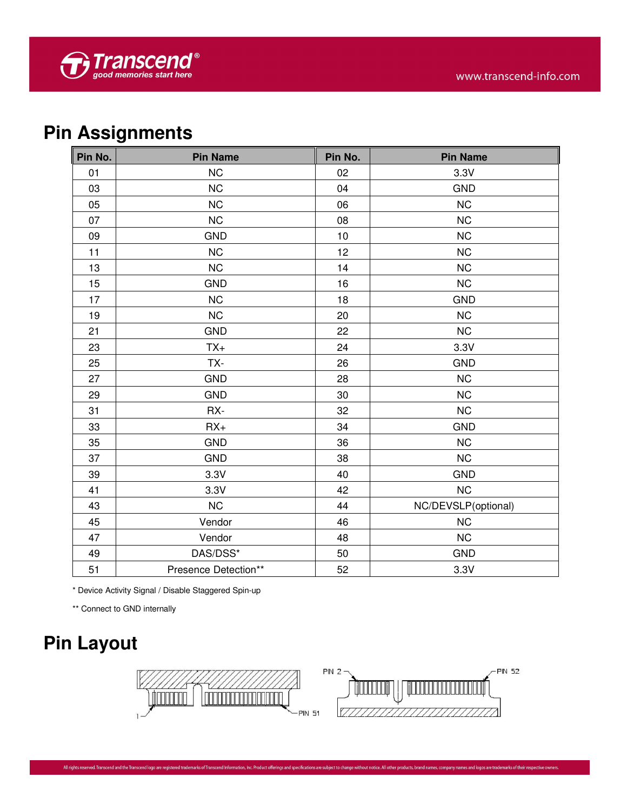# **Pin Assignments**

| Pin No. | <b>Pin Name</b>      | Pin No. | <b>Pin Name</b>     |
|---------|----------------------|---------|---------------------|
| 01      | <b>NC</b>            | 02      | 3.3V                |
| 03      | <b>NC</b>            | 04      | <b>GND</b>          |
| 05      | <b>NC</b>            | 06      | <b>NC</b>           |
| 07      | <b>NC</b>            | 08      | NC                  |
| 09      | <b>GND</b>           | 10      | <b>NC</b>           |
| 11      | <b>NC</b>            | 12      | <b>NC</b>           |
| 13      | <b>NC</b>            | 14      | <b>NC</b>           |
| 15      | <b>GND</b>           | 16      | NC                  |
| 17      | <b>NC</b>            | 18      | <b>GND</b>          |
| 19      | NC                   | 20      | <b>NC</b>           |
| 21      | <b>GND</b>           | 22      | <b>NC</b>           |
| 23      | $TX+$                | 24      | 3.3V                |
| 25      | TX-                  | 26      | <b>GND</b>          |
| 27      | <b>GND</b>           | 28      | NC                  |
| 29      | <b>GND</b>           | 30      | <b>NC</b>           |
| 31      | RX-                  | 32      | <b>NC</b>           |
| 33      | $RX+$                | 34      | <b>GND</b>          |
| 35      | <b>GND</b>           | 36      | NC                  |
| 37      | <b>GND</b>           | 38      | <b>NC</b>           |
| 39      | 3.3V                 | 40      | <b>GND</b>          |
| 41      | 3.3V                 | 42      | <b>NC</b>           |
| 43      | <b>NC</b>            | 44      | NC/DEVSLP(optional) |
| 45      | Vendor               | 46      | <b>NC</b>           |
| 47      | Vendor               | 48      | <b>NC</b>           |
| 49      | DAS/DSS*             | 50      | <b>GND</b>          |
| 51      | Presence Detection** | 52      | 3.3V                |

\* Device Activity Signal / Disable Staggered Spin-up

\*\* Connect to GND internally

# **Pin Layout**

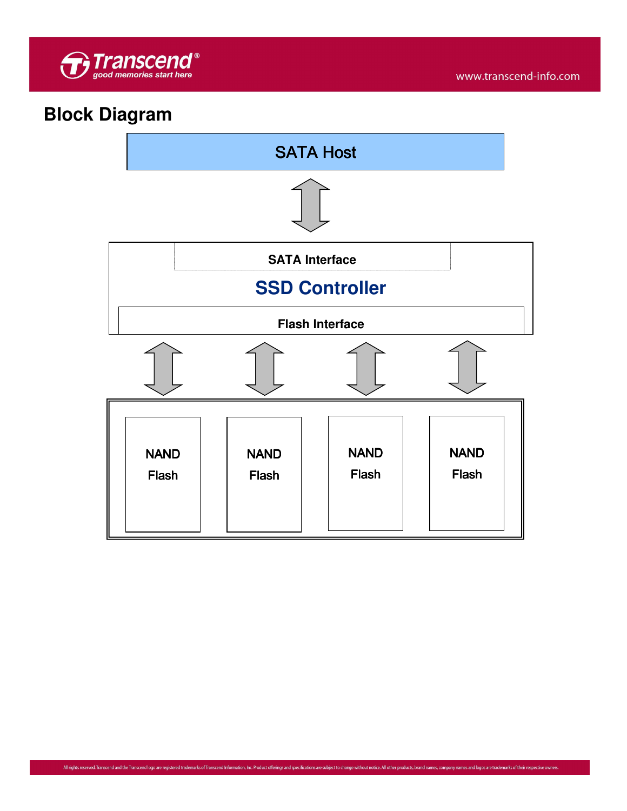

## **Block Diagram**

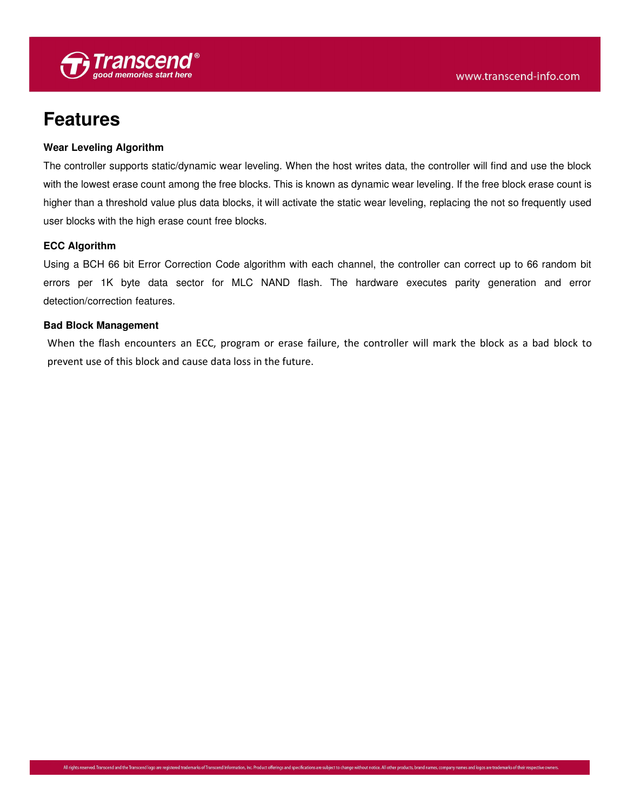

### **Features**

#### **Wear Leveling Algorithm**

The controller supports static/dynamic wear leveling. When the host writes data, the controller will find and use the block with the lowest erase count among the free blocks. This is known as dynamic wear leveling. If the free block erase count is higher than a threshold value plus data blocks, it will activate the static wear leveling, replacing the not so frequently used user blocks with the high erase count free blocks.

#### **ECC Algorithm**

Using a BCH 66 bit Error Correction Code algorithm with each channel, the controller can correct up to 66 random bit errors per 1K byte data sector for MLC NAND flash. The hardware executes parity generation and error detection/correction features.

#### **Bad Block Management**

When the flash encounters an ECC, program or erase failure, the controller will mark the block as a bad block to prevent use of this block and cause data loss in the future.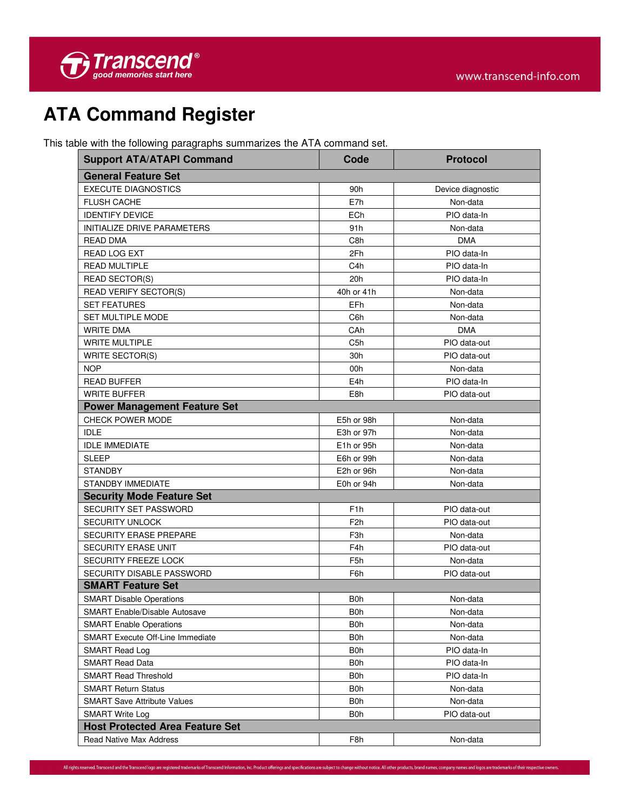

# **ATA Command Register**

This table with the following paragraphs summarizes the ATA command set.

| <b>Support ATA/ATAPI Command</b>        | Code                    | <b>Protocol</b>   |
|-----------------------------------------|-------------------------|-------------------|
| <b>General Feature Set</b>              |                         |                   |
| <b>EXECUTE DIAGNOSTICS</b>              | 90h                     | Device diagnostic |
| <b>FLUSH CACHE</b>                      | E7h                     | Non-data          |
| <b>IDENTIFY DEVICE</b>                  | ECh                     | PIO data-In       |
| INITIALIZE DRIVE PARAMETERS             | 91h                     | Non-data          |
| <b>READ DMA</b>                         | C8h                     | <b>DMA</b>        |
| READ LOG EXT                            | 2Fh                     | PIO data-In       |
| <b>READ MULTIPLE</b>                    | C <sub>4</sub> h        | PIO data-In       |
| <b>READ SECTOR(S)</b>                   | 20h                     | PIO data-In       |
| <b>READ VERIFY SECTOR(S)</b>            | 40h or 41h              | Non-data          |
| <b>SET FEATURES</b>                     | EFh                     | Non-data          |
| SET MULTIPLE MODE                       | C6h                     | Non-data          |
| <b>WRITE DMA</b>                        | CAh                     | <b>DMA</b>        |
| <b>WRITE MULTIPLE</b>                   | C <sub>5</sub> h        | PIO data-out      |
| <b>WRITE SECTOR(S)</b>                  | 30h                     | PIO data-out      |
| <b>NOP</b>                              | 00h                     | Non-data          |
| <b>READ BUFFER</b>                      | E <sub>4</sub> h        | PIO data-In       |
| <b>WRITE BUFFER</b>                     | E8h                     | PIO data-out      |
| <b>Power Management Feature Set</b>     |                         |                   |
| <b>CHECK POWER MODE</b>                 | E5h or 98h              | Non-data          |
| <b>IDLE</b>                             | E3h or 97h              | Non-data          |
| <b>IDLE IMMEDIATE</b>                   | E <sub>1</sub> h or 95h | Non-data          |
| <b>SLEEP</b>                            | E6h or 99h              | Non-data          |
| <b>STANDBY</b>                          | E2h or 96h              | Non-data          |
| <b>STANDBY IMMEDIATE</b>                | E0h or 94h              | Non-data          |
| <b>Security Mode Feature Set</b>        |                         |                   |
| SECURITY SET PASSWORD                   | F <sub>1</sub> h        | PIO data-out      |
| <b>SECURITY UNLOCK</b>                  | F <sub>2</sub> h        | PIO data-out      |
| <b>SECURITY ERASE PREPARE</b>           | F <sub>3</sub> h        | Non-data          |
| SECURITY ERASE UNIT                     | F <sub>4</sub> h        | PIO data-out      |
| <b>SECURITY FREEZE LOCK</b>             | F <sub>5</sub> h        | Non-data          |
| <b>SECURITY DISABLE PASSWORD</b>        | F6h                     | PIO data-out      |
| <b>SMART Feature Set</b>                |                         |                   |
| <b>SMART Disable Operations</b>         | B <sub>0</sub> h        | Non-data          |
| <b>SMART Enable/Disable Autosave</b>    | B <sub>0</sub> h        | Non-data          |
| <b>SMART Enable Operations</b>          | B <sub>0</sub> h        | Non-data          |
| <b>SMART Execute Off-Line Immediate</b> | B0h                     | Non-data          |
| SMART Read Log                          | B0h                     | PIO data-In       |
| <b>SMART Read Data</b>                  | <b>B0h</b>              | PIO data-In       |
| <b>SMART Read Threshold</b>             | <b>B0h</b>              | PIO data-In       |
| <b>SMART Return Status</b>              | <b>B0h</b>              | Non-data          |
| <b>SMART Save Attribute Values</b>      | <b>B0h</b>              | Non-data          |
| SMART Write Log                         | <b>B0h</b>              | PIO data-out      |
| <b>Host Protected Area Feature Set</b>  |                         |                   |
| Read Native Max Address                 | F8h                     | Non-data          |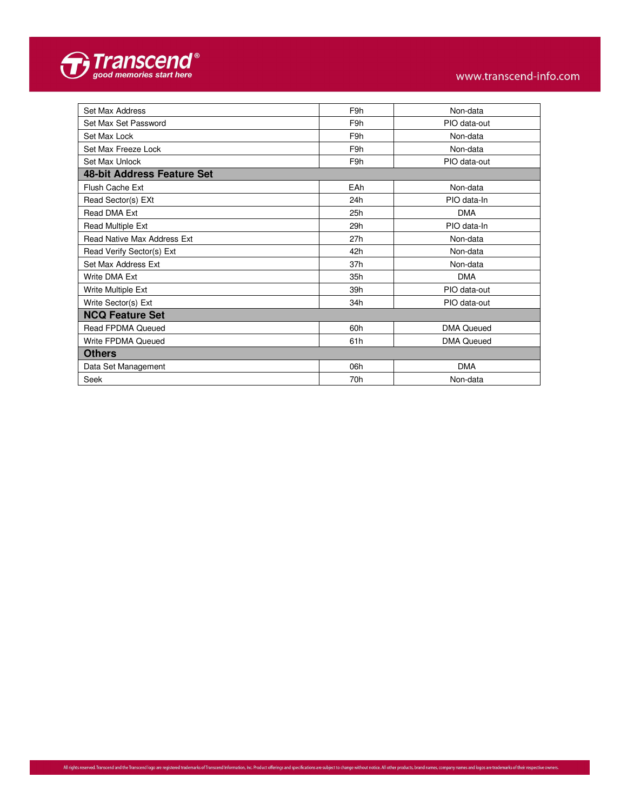

| Set Max Address                    | F9h | Non-data          |
|------------------------------------|-----|-------------------|
| Set Max Set Password               | F9h | PIO data-out      |
| Set Max Lock                       | F9h | Non-data          |
| Set Max Freeze Lock                | F9h | Non-data          |
| Set Max Unlock                     | F9h | PIO data-out      |
| 48-bit Address Feature Set         |     |                   |
| Flush Cache Ext                    | EAh | Non-data          |
| Read Sector(s) EXt                 | 24h | PIO data-In       |
| Read DMA Ext                       | 25h | <b>DMA</b>        |
| Read Multiple Ext                  | 29h | PIO data-In       |
| <b>Read Native Max Address Ext</b> | 27h | Non-data          |
| Read Verify Sector(s) Ext          | 42h | Non-data          |
| Set Max Address Ext                | 37h | Non-data          |
| Write DMA Ext                      | 35h | <b>DMA</b>        |
| Write Multiple Ext                 | 39h | PIO data-out      |
| Write Sector(s) Ext                | 34h | PIO data-out      |
| <b>NCQ Feature Set</b>             |     |                   |
| <b>Read FPDMA Queued</b>           | 60h | <b>DMA Queued</b> |
| Write FPDMA Queued                 | 61h | <b>DMA Queued</b> |
| <b>Others</b>                      |     |                   |
| Data Set Management                | 06h | <b>DMA</b>        |
| Seek                               | 70h | Non-data          |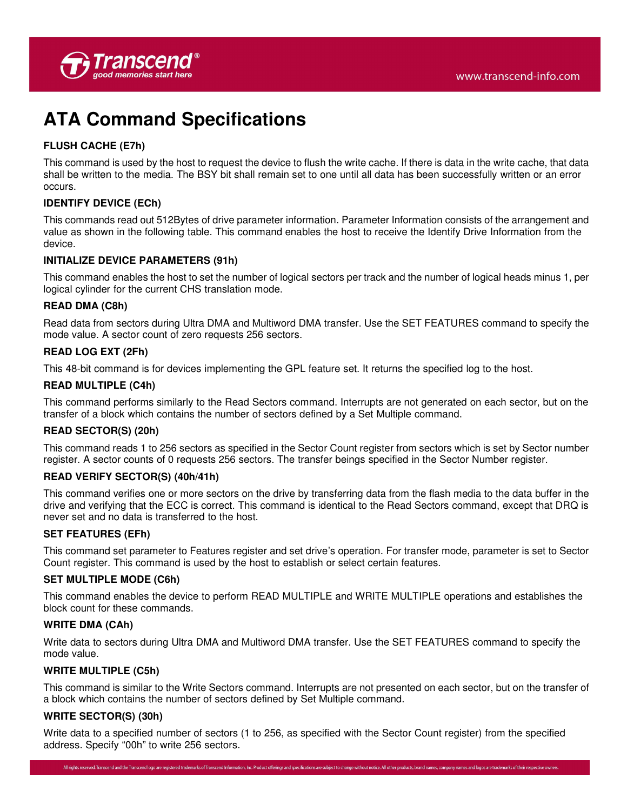## **ATA Command Specifications**

### **FLUSH CACHE (E7h)**

This command is used by the host to request the device to flush the write cache. If there is data in the write cache, that data shall be written to the media. The BSY bit shall remain set to one until all data has been successfully written or an error occurs.

### **IDENTIFY DEVICE (ECh)**

This commands read out 512Bytes of drive parameter information. Parameter Information consists of the arrangement and value as shown in the following table. This command enables the host to receive the Identify Drive Information from the device.

### **INITIALIZE DEVICE PARAMETERS (91h)**

This command enables the host to set the number of logical sectors per track and the number of logical heads minus 1, per logical cylinder for the current CHS translation mode.

#### **READ DMA (C8h)**

Read data from sectors during Ultra DMA and Multiword DMA transfer. Use the SET FEATURES command to specify the mode value. A sector count of zero requests 256 sectors.

### **READ LOG EXT (2Fh)**

This 48-bit command is for devices implementing the GPL feature set. It returns the specified log to the host.

#### **READ MULTIPLE (C4h)**

This command performs similarly to the Read Sectors command. Interrupts are not generated on each sector, but on the transfer of a block which contains the number of sectors defined by a Set Multiple command.

### **READ SECTOR(S) (20h)**

This command reads 1 to 256 sectors as specified in the Sector Count register from sectors which is set by Sector number register. A sector counts of 0 requests 256 sectors. The transfer beings specified in the Sector Number register.

### **READ VERIFY SECTOR(S) (40h/41h)**

This command verifies one or more sectors on the drive by transferring data from the flash media to the data buffer in the drive and verifying that the ECC is correct. This command is identical to the Read Sectors command, except that DRQ is never set and no data is transferred to the host.

#### **SET FEATURES (EFh)**

This command set parameter to Features register and set drive's operation. For transfer mode, parameter is set to Sector Count register. This command is used by the host to establish or select certain features.

#### **SET MULTIPLE MODE (C6h)**

This command enables the device to perform READ MULTIPLE and WRITE MULTIPLE operations and establishes the block count for these commands.

#### **WRITE DMA (CAh)**

Write data to sectors during Ultra DMA and Multiword DMA transfer. Use the SET FEATURES command to specify the mode value.

### **WRITE MULTIPLE (C5h)**

This command is similar to the Write Sectors command. Interrupts are not presented on each sector, but on the transfer of a block which contains the number of sectors defined by Set Multiple command.

#### **WRITE SECTOR(S) (30h)**

Write data to a specified number of sectors (1 to 256, as specified with the Sector Count register) from the specified address. Specify "00h" to write 256 sectors.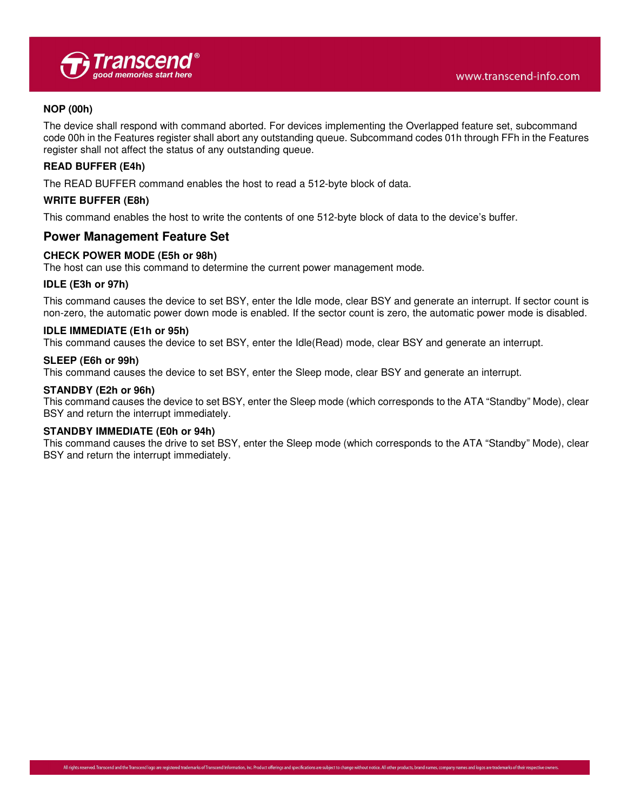#### **NOP (00h)**

The device shall respond with command aborted. For devices implementing the Overlapped feature set, subcommand code 00h in the Features register shall abort any outstanding queue. Subcommand codes 01h through FFh in the Features register shall not affect the status of any outstanding queue.

#### **READ BUFFER (E4h)**

The READ BUFFER command enables the host to read a 512-byte block of data.

#### **WRITE BUFFER (E8h)**

This command enables the host to write the contents of one 512-byte block of data to the device's buffer.

### **Power Management Feature Set**

#### **CHECK POWER MODE (E5h or 98h)**

The host can use this command to determine the current power management mode.

#### **IDLE (E3h or 97h)**

This command causes the device to set BSY, enter the Idle mode, clear BSY and generate an interrupt. If sector count is non-zero, the automatic power down mode is enabled. If the sector count is zero, the automatic power mode is disabled.

#### **IDLE IMMEDIATE (E1h or 95h)**

This command causes the device to set BSY, enter the Idle(Read) mode, clear BSY and generate an interrupt.

#### **SLEEP (E6h or 99h)**

This command causes the device to set BSY, enter the Sleep mode, clear BSY and generate an interrupt.

#### **STANDBY (E2h or 96h)**

This command causes the device to set BSY, enter the Sleep mode (which corresponds to the ATA "Standby" Mode), clear BSY and return the interrupt immediately.

#### **STANDBY IMMEDIATE (E0h or 94h)**

This command causes the drive to set BSY, enter the Sleep mode (which corresponds to the ATA "Standby" Mode), clear BSY and return the interrupt immediately.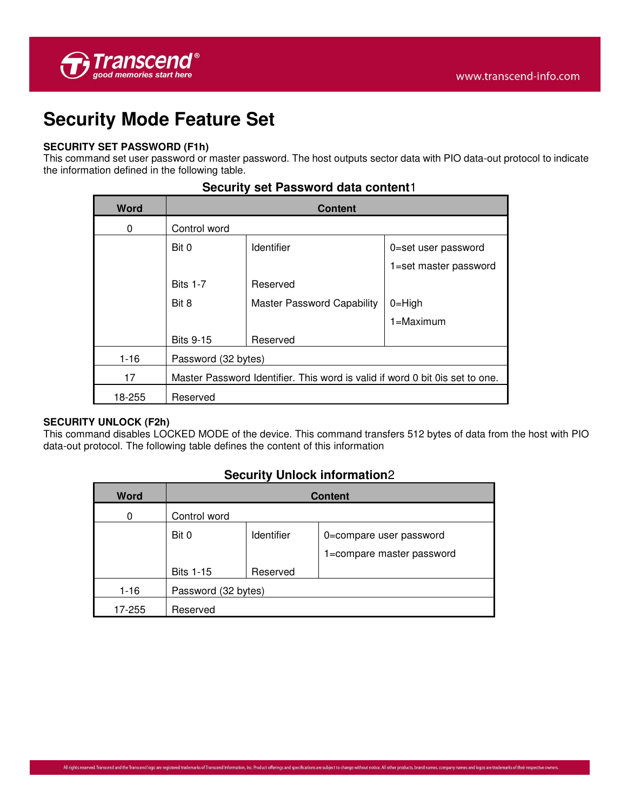

## **Security Mode Feature Set**

### **SECURITY SET PASSWORD (F1h)**

This command set user password or master password. The host outputs sector data with PIO data-out protocol to indicate the information defined in the following table.

| <b>Word</b> | <b>Content</b>                                                                |                                   |                       |  |
|-------------|-------------------------------------------------------------------------------|-----------------------------------|-----------------------|--|
| 0           | Control word                                                                  |                                   |                       |  |
|             | Bit 0                                                                         | <b>Identifier</b>                 | 0=set user password   |  |
|             |                                                                               |                                   | 1=set master password |  |
|             | <b>Bits 1-7</b>                                                               | Reserved                          |                       |  |
|             | Bit 8                                                                         | <b>Master Password Capability</b> | $0 = High$            |  |
|             |                                                                               |                                   | $1 =$ Maximum         |  |
|             | <b>Bits 9-15</b>                                                              | Reserved                          |                       |  |
| $1 - 16$    | Password (32 bytes)                                                           |                                   |                       |  |
| 17          | Master Password Identifier. This word is valid if word 0 bit 0 is set to one. |                                   |                       |  |
| 18-255      | Reserved                                                                      |                                   |                       |  |

### **Security set Password data content**1

### **SECURITY UNLOCK (F2h)**

This command disables LOCKED MODE of the device. This command transfers 512 bytes of data from the host with PIO data-out protocol. The following table defines the content of this information

### **Security Unlock information**2

| <b>Word</b> | <b>Content</b>      |                   |                           |  |  |  |
|-------------|---------------------|-------------------|---------------------------|--|--|--|
| 0           | Control word        |                   |                           |  |  |  |
|             | Bit 0               | <b>Identifier</b> | 0=compare user password   |  |  |  |
|             |                     |                   | 1=compare master password |  |  |  |
|             | <b>Bits 1-15</b>    | Reserved          |                           |  |  |  |
| $1 - 16$    | Password (32 bytes) |                   |                           |  |  |  |
| 17-255      | Reserved            |                   |                           |  |  |  |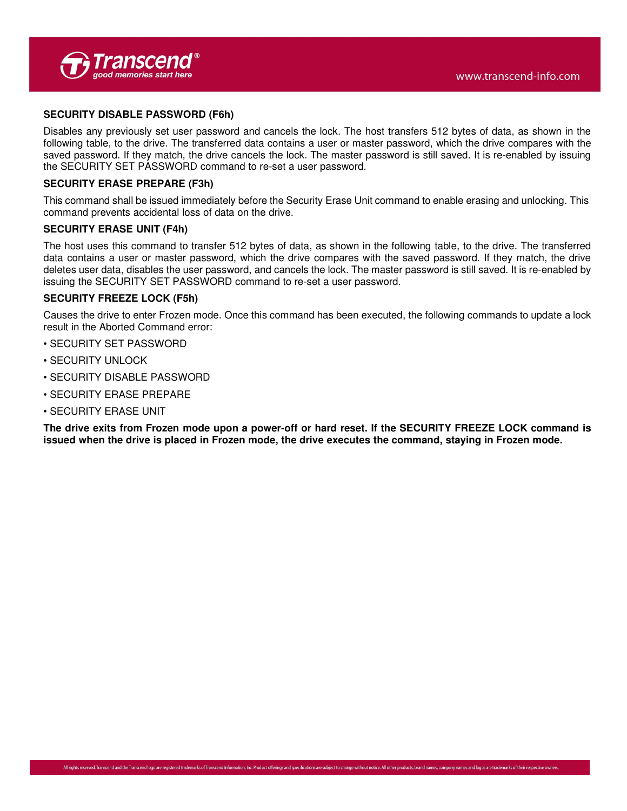

#### **SECURITY DISABLE PASSWORD (F6h)**

Disables any previously set user password and cancels the lock. The host transfers 512 bytes of data, as shown in the following table, to the drive. The transferred data contains a user or master password, which the drive compares with the saved password. If they match, the drive cancels the lock. The master password is still saved. It is re-enabled by issuing the SECURITY SET PASSWORD command to re-set a user password.

#### **SECURITY ERASE PREPARE (F3h)**

This command shall be issued immediately before the Security Erase Unit command to enable erasing and unlocking. This command prevents accidental loss of data on the drive.

#### **SECURITY ERASE UNIT (F4h)**

The host uses this command to transfer 512 bytes of data, as shown in the following table, to the drive. The transferred data contains a user or master password, which the drive compares with the saved password. If they match, the drive deletes user data, disables the user password, and cancels the lock. The master password is still saved. It is re-enabled by issuing the SECURITY SET PASSWORD command to re-set a user password.

#### **SECURITY FREEZE LOCK (F5h)**

Causes the drive to enter Frozen mode. Once this command has been executed, the following commands to update a lock result in the Aborted Command error:

- SECURITY SET PASSWORD
- SECURITY UNLOCK
- SECURITY DISABLE PASSWORD
- SECURITY ERASE PREPARE
- SECURITY ERASE UNIT

**The drive exits from Frozen mode upon a power-off or hard reset. If the SECURITY FREEZE LOCK command is issued when the drive is placed in Frozen mode, the drive executes the command, staying in Frozen mode.**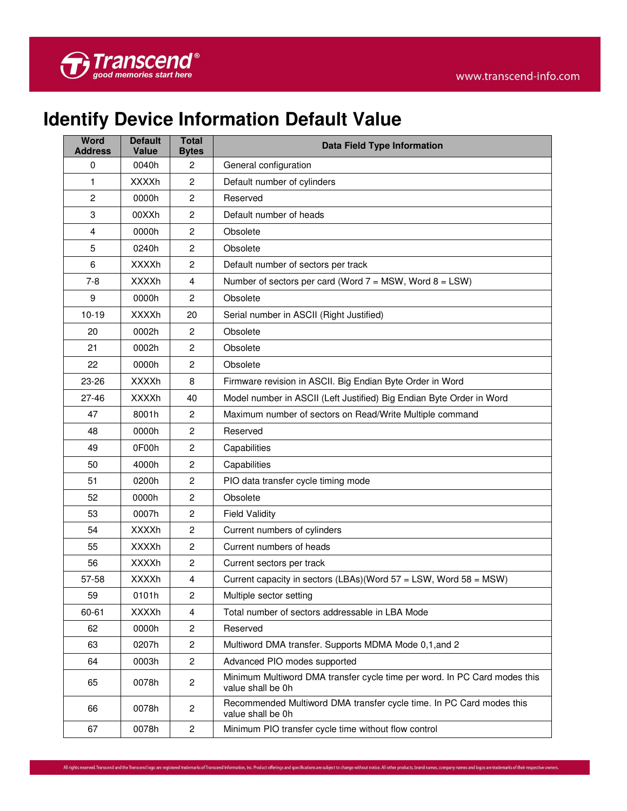

# **Identify Device Information Default Value**

| <b>Word</b><br><b>Address</b> | <b>Default</b><br><b>Value</b> | <b>Total</b><br><b>Bytes</b> | <b>Data Field Type Information</b>                                                             |  |  |  |
|-------------------------------|--------------------------------|------------------------------|------------------------------------------------------------------------------------------------|--|--|--|
| 0                             | 0040h                          | $\overline{2}$               | General configuration                                                                          |  |  |  |
| 1                             | <b>XXXXh</b>                   | $\overline{c}$               | Default number of cylinders                                                                    |  |  |  |
| $\overline{c}$                | 0000h                          | $\overline{c}$               | Reserved                                                                                       |  |  |  |
| 3                             | 00XXh                          | $\mathbf{2}$                 | Default number of heads                                                                        |  |  |  |
| 4                             | 0000h                          | $\overline{2}$               | Obsolete                                                                                       |  |  |  |
| 5                             | 0240h                          | $\overline{c}$               | Obsolete                                                                                       |  |  |  |
| 6                             | <b>XXXXh</b>                   | $\mathbf{2}$                 | Default number of sectors per track                                                            |  |  |  |
| $7 - 8$                       | <b>XXXXh</b>                   | $\overline{4}$               | Number of sectors per card (Word $7 = MSW$ , Word $8 = LSW$ )                                  |  |  |  |
| 9                             | 0000h                          | $\overline{c}$               | Obsolete                                                                                       |  |  |  |
| $10-19$                       | <b>XXXXh</b>                   | 20                           | Serial number in ASCII (Right Justified)                                                       |  |  |  |
| 20                            | 0002h                          | $\overline{2}$               | Obsolete                                                                                       |  |  |  |
| 21                            | 0002h                          | $\overline{2}$               | Obsolete                                                                                       |  |  |  |
| 22                            | 0000h                          | $\overline{c}$               | Obsolete                                                                                       |  |  |  |
| 23-26                         | <b>XXXXh</b>                   | 8                            | Firmware revision in ASCII. Big Endian Byte Order in Word                                      |  |  |  |
| $27 - 46$                     | <b>XXXXh</b>                   | 40                           | Model number in ASCII (Left Justified) Big Endian Byte Order in Word                           |  |  |  |
| 47                            | 8001h                          | 2                            | Maximum number of sectors on Read/Write Multiple command                                       |  |  |  |
| 48                            | 0000h                          | $\overline{2}$               | Reserved                                                                                       |  |  |  |
| 49                            | 0F00h                          | $\overline{c}$               | Capabilities                                                                                   |  |  |  |
| 50                            | 4000h                          | $\overline{c}$               | Capabilities                                                                                   |  |  |  |
| 51                            | 0200h                          | $\overline{c}$               | PIO data transfer cycle timing mode                                                            |  |  |  |
| 52                            | 0000h                          | $\mathbf{2}$                 | Obsolete                                                                                       |  |  |  |
| 53                            | 0007h                          | $\overline{2}$               | <b>Field Validity</b>                                                                          |  |  |  |
| 54                            | <b>XXXXh</b>                   | $\overline{c}$               | Current numbers of cylinders                                                                   |  |  |  |
| 55                            | <b>XXXXh</b>                   | $\mathbf{2}$                 | Current numbers of heads                                                                       |  |  |  |
| 56                            | <b>XXXXh</b>                   | $\overline{2}$               | Current sectors per track                                                                      |  |  |  |
| 57-58                         | <b>XXXXh</b>                   | 4                            | Current capacity in sectors (LBAs)(Word 57 = LSW, Word 58 = MSW)                               |  |  |  |
| 59                            | 0101h                          | $\overline{c}$               | Multiple sector setting                                                                        |  |  |  |
| 60-61                         | <b>XXXXh</b>                   | 4                            | Total number of sectors addressable in LBA Mode                                                |  |  |  |
| 62                            | 0000h                          | $\overline{c}$               | Reserved                                                                                       |  |  |  |
| 63                            | 0207h                          | $\overline{2}$               | Multiword DMA transfer. Supports MDMA Mode 0,1, and 2                                          |  |  |  |
| 64                            | 0003h                          | $\overline{2}$               | Advanced PIO modes supported                                                                   |  |  |  |
| 65                            | 0078h                          | $\overline{2}$               | Minimum Multiword DMA transfer cycle time per word. In PC Card modes this<br>value shall be 0h |  |  |  |
| 66                            | 0078h                          | $\overline{c}$               | Recommended Multiword DMA transfer cycle time. In PC Card modes this<br>value shall be 0h      |  |  |  |
| 67                            | 0078h                          | $\overline{2}$               | Minimum PIO transfer cycle time without flow control                                           |  |  |  |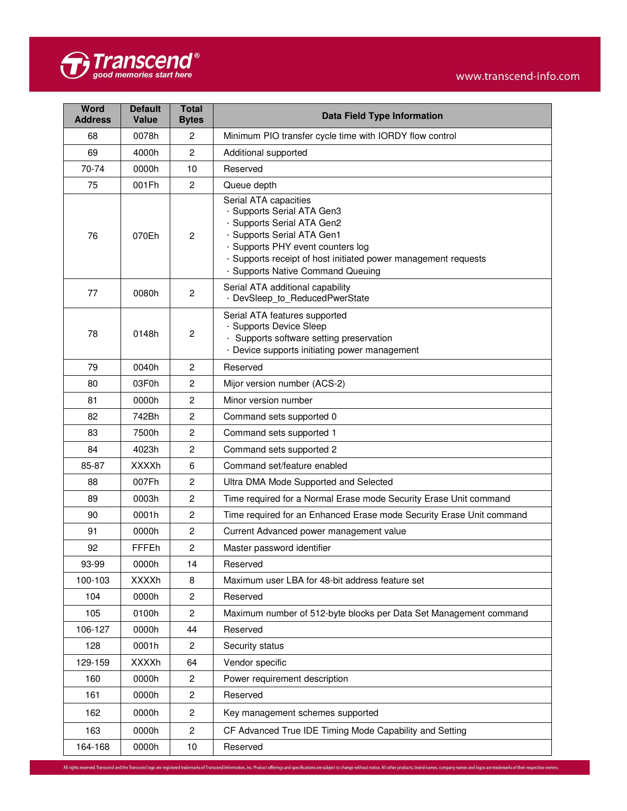

| <b>Word</b><br><b>Address</b> | <b>Default</b><br><b>Value</b> | <b>Total</b><br><b>Bytes</b> | <b>Data Field Type Information</b>                                                                                                                                                                                                                          |  |  |  |
|-------------------------------|--------------------------------|------------------------------|-------------------------------------------------------------------------------------------------------------------------------------------------------------------------------------------------------------------------------------------------------------|--|--|--|
| 68                            | 0078h                          | 2                            | Minimum PIO transfer cycle time with IORDY flow control                                                                                                                                                                                                     |  |  |  |
| 69                            | 4000h                          | $\overline{2}$               | Additional supported                                                                                                                                                                                                                                        |  |  |  |
| 70-74                         | 0000h                          | 10                           | Reserved                                                                                                                                                                                                                                                    |  |  |  |
| 75                            | 001Fh                          | $\overline{2}$               | Queue depth                                                                                                                                                                                                                                                 |  |  |  |
| 76                            | 070Eh                          | $\overline{2}$               | Serial ATA capacities<br>· Supports Serial ATA Gen3<br>· Supports Serial ATA Gen2<br>· Supports Serial ATA Gen1<br>· Supports PHY event counters log<br>· Supports receipt of host initiated power management requests<br>· Supports Native Command Queuing |  |  |  |
| 77                            | 0080h                          | $\overline{2}$               | Serial ATA additional capability<br>· DevSleep_to_ReducedPwerState                                                                                                                                                                                          |  |  |  |
| 78                            | 0148h                          | $\overline{c}$               | Serial ATA features supported<br>· Supports Device Sleep<br>· Supports software setting preservation<br>· Device supports initiating power management                                                                                                       |  |  |  |
| 79                            | 0040h                          | $\overline{2}$               | Reserved                                                                                                                                                                                                                                                    |  |  |  |
| 80                            | 03F0h                          | $\overline{c}$               | Mijor version number (ACS-2)                                                                                                                                                                                                                                |  |  |  |
| 81                            | 0000h                          | $\overline{2}$               | Minor version number                                                                                                                                                                                                                                        |  |  |  |
| 82                            | 742Bh                          | $\overline{c}$               | Command sets supported 0                                                                                                                                                                                                                                    |  |  |  |
| 83                            | 7500h                          | $\overline{c}$               | Command sets supported 1                                                                                                                                                                                                                                    |  |  |  |
| 84                            | 4023h                          | $\overline{c}$               | Command sets supported 2                                                                                                                                                                                                                                    |  |  |  |
| 85-87                         | <b>XXXXh</b>                   | 6                            | Command set/feature enabled                                                                                                                                                                                                                                 |  |  |  |
| 88                            | 007Fh                          | $\overline{c}$               | Ultra DMA Mode Supported and Selected                                                                                                                                                                                                                       |  |  |  |
| 89                            | 0003h                          | $\overline{c}$               | Time required for a Normal Erase mode Security Erase Unit command                                                                                                                                                                                           |  |  |  |
| 90                            | 0001h                          | $\overline{c}$               | Time required for an Enhanced Erase mode Security Erase Unit command                                                                                                                                                                                        |  |  |  |
| 91                            | 0000h                          | $\overline{c}$               | Current Advanced power management value                                                                                                                                                                                                                     |  |  |  |
| 92                            | <b>FFFEh</b>                   | $\overline{2}$               | Master password identifier                                                                                                                                                                                                                                  |  |  |  |
| 93-99                         | 0000h                          | 14                           | Reserved                                                                                                                                                                                                                                                    |  |  |  |
| 100-103                       | <b>XXXXh</b>                   | 8                            | Maximum user LBA for 48-bit address feature set                                                                                                                                                                                                             |  |  |  |
| 104                           | 0000h                          | 2                            | Reserved                                                                                                                                                                                                                                                    |  |  |  |
| 105                           | 0100h                          | $\overline{c}$               | Maximum number of 512-byte blocks per Data Set Management command                                                                                                                                                                                           |  |  |  |
| 106-127                       | 0000h                          | 44                           | Reserved                                                                                                                                                                                                                                                    |  |  |  |
| 128                           | 0001h                          | 2                            | Security status                                                                                                                                                                                                                                             |  |  |  |
| 129-159                       | <b>XXXXh</b>                   | 64                           | Vendor specific                                                                                                                                                                                                                                             |  |  |  |
| 160                           | 0000h                          | $\overline{c}$               | Power requirement description                                                                                                                                                                                                                               |  |  |  |
| 161                           | 0000h                          | $\overline{c}$               | Reserved                                                                                                                                                                                                                                                    |  |  |  |
| 162                           | 0000h                          | $\overline{c}$               | Key management schemes supported                                                                                                                                                                                                                            |  |  |  |
| 163                           | 0000h                          | $\overline{c}$               | CF Advanced True IDE Timing Mode Capability and Setting                                                                                                                                                                                                     |  |  |  |
| 164-168                       | 0000h                          | 10                           | Reserved                                                                                                                                                                                                                                                    |  |  |  |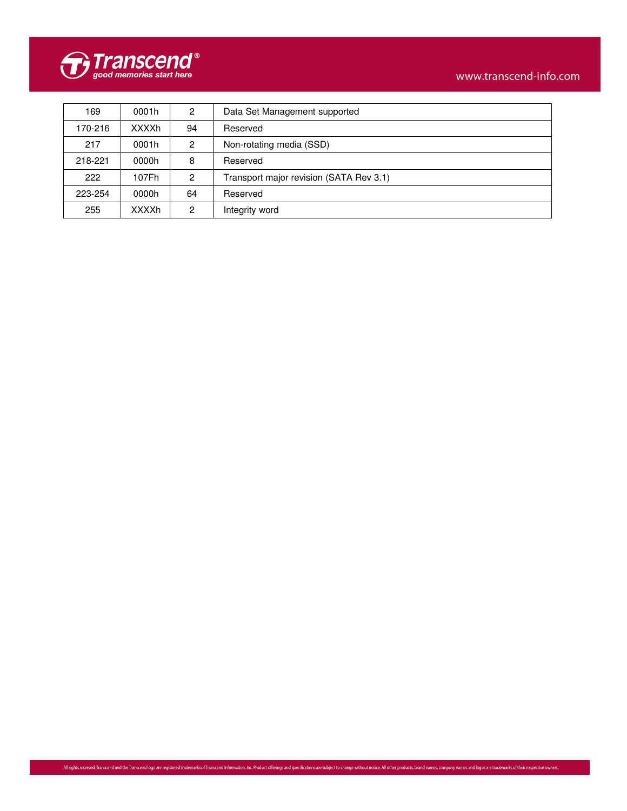

| 169     | 0001h        | 2  | Data Set Management supported           |
|---------|--------------|----|-----------------------------------------|
| 170-216 | <b>XXXXh</b> | 94 | Reserved                                |
| 217     | 0001h        | 2  | Non-rotating media (SSD)                |
| 218-221 | 0000h        | 8  | Reserved                                |
| 222     | 107Fh        | 2  | Transport major revision (SATA Rev 3.1) |
| 223-254 | 0000h        | 64 | Reserved                                |
| 255     | <b>XXXXh</b> | 2  | Integrity word                          |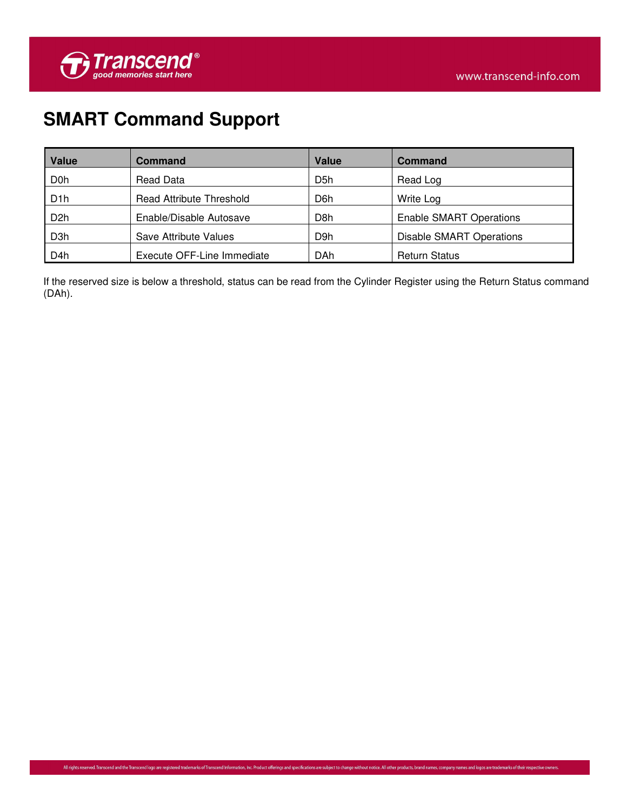

# **SMART Command Support**

| <b>Value</b>     | <b>Command</b>                  | Value            | <b>Command</b>                  |
|------------------|---------------------------------|------------------|---------------------------------|
| D <sub>0</sub> h | Read Data                       | D <sub>5</sub> h | Read Log                        |
| D <sub>1</sub> h | <b>Read Attribute Threshold</b> | D6h              | Write Log                       |
| D <sub>2</sub> h | Enable/Disable Autosave         | D8h              | <b>Enable SMART Operations</b>  |
| D <sub>3</sub> h | Save Attribute Values           | D9h              | <b>Disable SMART Operations</b> |
| D <sub>4</sub> h | Execute OFF-Line Immediate      | DAh              | <b>Return Status</b>            |

If the reserved size is below a threshold, status can be read from the Cylinder Register using the Return Status command (DAh).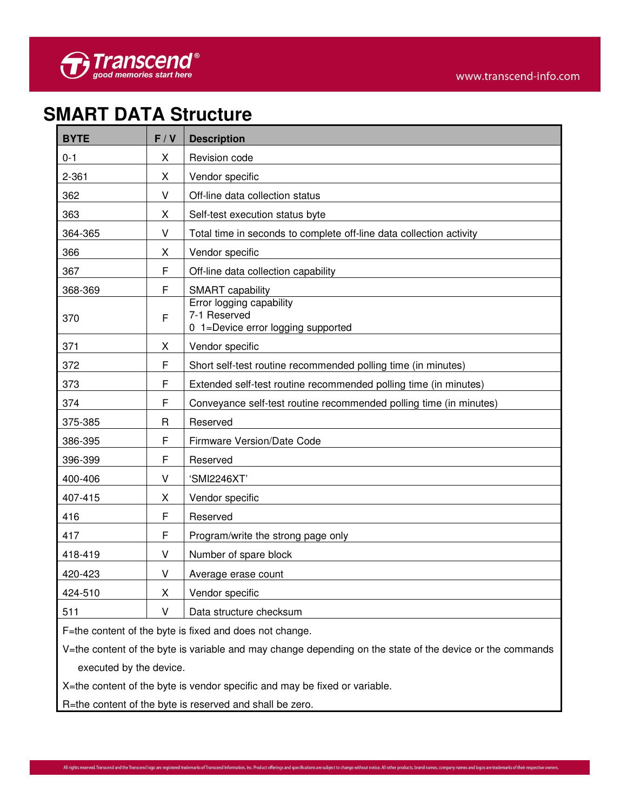## **SMART DATA Structure**

| <b>BYTE</b> | F/V          | <b>Description</b>                                                             |
|-------------|--------------|--------------------------------------------------------------------------------|
| $0 - 1$     | X            | Revision code                                                                  |
| $2 - 361$   | X            | Vendor specific                                                                |
| 362         | V            | Off-line data collection status                                                |
| 363         | X            | Self-test execution status byte                                                |
| 364-365     | V            | Total time in seconds to complete off-line data collection activity            |
| 366         | X            | Vendor specific                                                                |
| 367         | F            | Off-line data collection capability                                            |
| 368-369     | F            | <b>SMART</b> capability                                                        |
| 370         | F            | Error logging capability<br>7-1 Reserved<br>0 1=Device error logging supported |
| 371         | X            | Vendor specific                                                                |
| 372         | F            | Short self-test routine recommended polling time (in minutes)                  |
| 373         | F            | Extended self-test routine recommended polling time (in minutes)               |
| 374         | F            | Conveyance self-test routine recommended polling time (in minutes)             |
| 375-385     | $\mathsf{R}$ | Reserved                                                                       |
| 386-395     | F            | Firmware Version/Date Code                                                     |
| 396-399     | F            | Reserved                                                                       |
| 400-406     | V            | 'SMI2246XT'                                                                    |
| 407-415     | Χ            | Vendor specific                                                                |
| 416         | F            | Reserved                                                                       |
| 417         | F            | Program/write the strong page only                                             |
| 418-419     | $\vee$       | Number of spare block                                                          |
| 420-423     | V            | Average erase count                                                            |
| 424-510     | X            | Vendor specific                                                                |
| 511         | V            | Data structure checksum                                                        |

F=the content of the byte is fixed and does not change.

V=the content of the byte is variable and may change depending on the state of the device or the commands executed by the device.

X=the content of the byte is vendor specific and may be fixed or variable.

R=the content of the byte is reserved and shall be zero.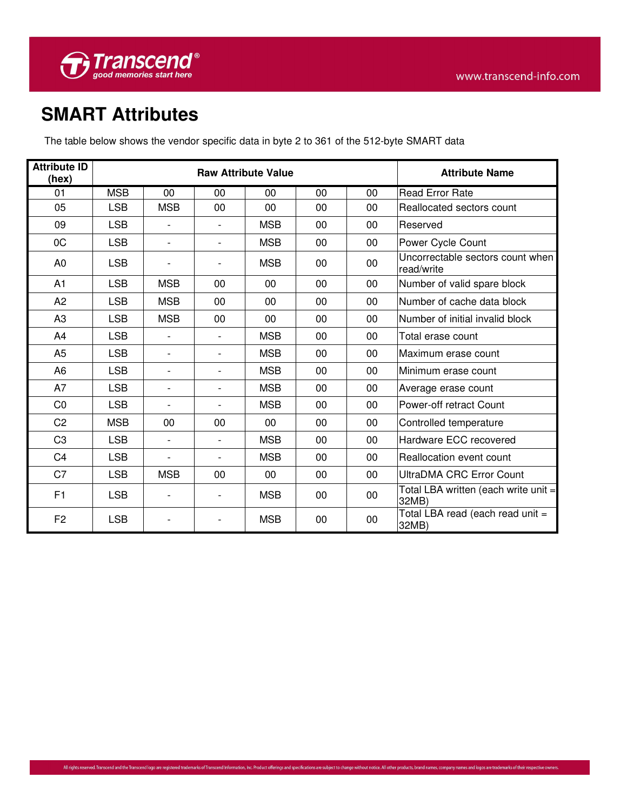

# **SMART Attributes**

The table below shows the vendor specific data in byte 2 to 361 of the 512-byte SMART data

| <b>Attribute ID</b><br>(hex) | <b>Raw Attribute Value</b> |                          |                          |            |        | <b>Attribute Name</b> |                                                |  |
|------------------------------|----------------------------|--------------------------|--------------------------|------------|--------|-----------------------|------------------------------------------------|--|
| 01                           | <b>MSB</b>                 | 00                       | 00                       | 00         | 00     | 00                    | <b>Read Error Rate</b>                         |  |
| 05                           | <b>LSB</b>                 | <b>MSB</b>               | 00                       | 00         | 00     | 00                    | Reallocated sectors count                      |  |
| 09                           | <b>LSB</b>                 |                          |                          | <b>MSB</b> | $00\,$ | $00 \,$               | Reserved                                       |  |
| 0C                           | <b>LSB</b>                 | $\overline{\phantom{a}}$ |                          | <b>MSB</b> | 00     | $00 \,$               | Power Cycle Count                              |  |
| A <sub>0</sub>               | <b>LSB</b>                 |                          |                          | <b>MSB</b> | 00     | 00                    | Uncorrectable sectors count when<br>read/write |  |
| A1                           | <b>LSB</b>                 | <b>MSB</b>               | 00                       | 00         | 00     | 00                    | Number of valid spare block                    |  |
| A <sub>2</sub>               | <b>LSB</b>                 | <b>MSB</b>               | $00\,$                   | $00\,$     | 00     | $00 \,$               | Number of cache data block                     |  |
| A <sub>3</sub>               | <b>LSB</b>                 | <b>MSB</b>               | 00                       | 00         | 00     | 00                    | Number of initial invalid block                |  |
| A4                           | <b>LSB</b>                 | $\overline{\phantom{a}}$ | $\overline{\phantom{a}}$ | <b>MSB</b> | 00     | $00 \,$               | Total erase count                              |  |
| A <sub>5</sub>               | <b>LSB</b>                 | $\overline{\phantom{a}}$ | $\overline{\phantom{a}}$ | <b>MSB</b> | 00     | 00                    | Maximum erase count                            |  |
| A <sub>6</sub>               | <b>LSB</b>                 | $\overline{\phantom{a}}$ | $\overline{\phantom{a}}$ | <b>MSB</b> | 00     | 00                    | Minimum erase count                            |  |
| A7                           | <b>LSB</b>                 | $\blacksquare$           |                          | <b>MSB</b> | 00     | 00                    | Average erase count                            |  |
| CO                           | <b>LSB</b>                 | $\overline{\phantom{a}}$ | $\overline{\phantom{a}}$ | <b>MSB</b> | 00     | 00                    | Power-off retract Count                        |  |
| C <sub>2</sub>               | <b>MSB</b>                 | 00                       | 00                       | 00         | 00     | 00                    | Controlled temperature                         |  |
| C <sub>3</sub>               | <b>LSB</b>                 | $\overline{\phantom{a}}$ |                          | <b>MSB</b> | 00     | 00                    | Hardware ECC recovered                         |  |
| C <sub>4</sub>               | <b>LSB</b>                 | $\overline{\phantom{a}}$ | $\overline{\phantom{a}}$ | <b>MSB</b> | 00     | 00                    | Reallocation event count                       |  |
| C7                           | <b>LSB</b>                 | <b>MSB</b>               | 00                       | 00         | 00     | 00                    | <b>UltraDMA CRC Error Count</b>                |  |
| F1                           | <b>LSB</b>                 | $\overline{\phantom{a}}$ |                          | <b>MSB</b> | 00     | 00                    | Total LBA written (each write unit =<br>32MB)  |  |
| F <sub>2</sub>               | <b>LSB</b>                 |                          |                          | <b>MSB</b> | 00     | 00                    | Total LBA read (each read unit =<br>32MB)      |  |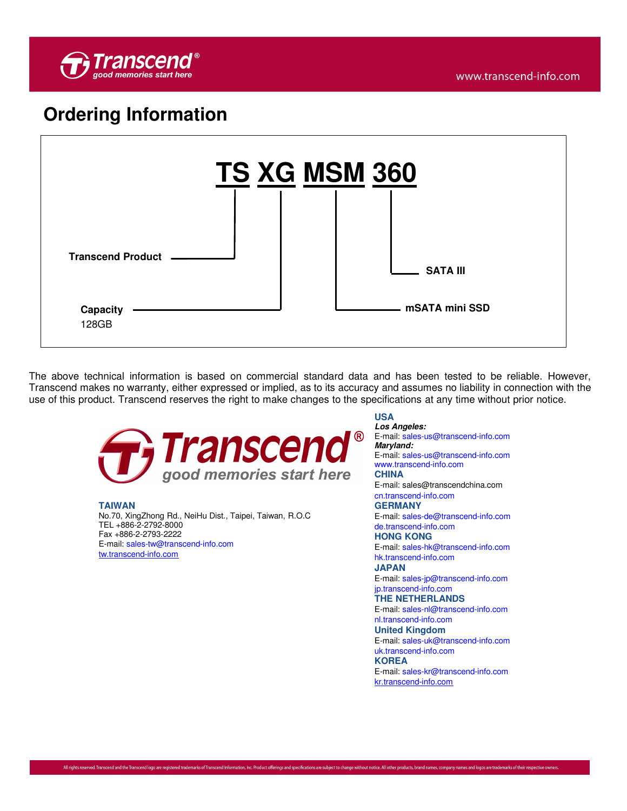

## **Ordering Information**



The above technical information is based on commercial standard data and has been tested to be reliable. However, Transcend makes no warranty, either expressed or implied, as to its accuracy and assumes no liability in connection with the use of this product. Transcend reserves the right to make changes to the specifications at any time without prior notice.



**TAIWAN** No.70, XingZhong Rd., NeiHu Dist., Taipei, Taiwan, R.O.C TEL +886-2-2792-8000 Fax +886-2-2793-2222 E-mail: sales-tw@transcend-info.com tw.transcend-info.com

### **USA**

**Los Angeles:** E-mail: sales-us@transcend-info.com **Maryland:** E-mail: sales-us@transcend-info.com

www.transcend-info.com

### **CHINA**

E-mail: sales@transcendchina.com cn.transcend-info.com

#### **GERMANY**

E-mail: sales-de@transcend-info.com de.transcend-info.com

#### **HONG KONG**

E-mail: sales-hk@transcend-info.com hk.transcend-info.com

#### **JAPAN**

E-mail: sales-jp@transcend-info.com jp.transcend-info.com

### **THE NETHERLANDS**

E-mail: sales-nl@transcend-info.com nl.transcend-info.com

#### **United Kingdom**

E-mail: sales-uk@transcend-info.com uk.transcend-info.com

#### **KOREA**

E-mail: sales-kr@transcend-info.com kr.transcend-info.com